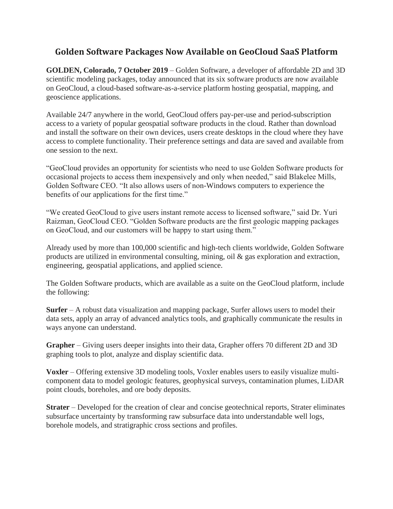## **Golden Software Packages Now Available on GeoCloud SaaS Platform**

**GOLDEN, Colorado, 7 October 2019** – Golden Software, a developer of affordable 2D and 3D scientific modeling packages, today announced that its six software products are now available on GeoCloud, a cloud-based software-as-a-service platform hosting geospatial, mapping, and geoscience applications.

Available 24/7 anywhere in the world, GeoCloud offers pay-per-use and period-subscription access to a variety of popular geospatial software products in the cloud. Rather than download and install the software on their own devices, users create desktops in the cloud where they have access to complete functionality. Their preference settings and data are saved and available from one session to the next.

"GeoCloud provides an opportunity for scientists who need to use Golden Software products for occasional projects to access them inexpensively and only when needed," said Blakelee Mills, Golden Software CEO. "It also allows users of non-Windows computers to experience the benefits of our applications for the first time."

"We created GeoCloud to give users instant remote access to licensed software," said Dr. Yuri Raizman, GeoCloud CEO. "Golden Software products are the first geologic mapping packages on GeoCloud, and our customers will be happy to start using them."

Already used by more than 100,000 scientific and high-tech clients worldwide, Golden Software products are utilized in environmental consulting, mining, oil & gas exploration and extraction, engineering, geospatial applications, and applied science.

The Golden Software products, which are available as a suite on the GeoCloud platform, include the following:

**Surfer** – A robust data visualization and mapping package, Surfer allows users to model their data sets, apply an array of advanced analytics tools, and graphically communicate the results in ways anyone can understand.

**Grapher** – Giving users deeper insights into their data, Grapher offers 70 different 2D and 3D graphing tools to plot, analyze and display scientific data.

**Voxler** – Offering extensive 3D modeling tools, Voxler enables users to easily visualize multicomponent data to model geologic features, geophysical surveys, contamination plumes, LiDAR point clouds, boreholes, and ore body deposits.

**Strater** – Developed for the creation of clear and concise geotechnical reports, Strater eliminates subsurface uncertainty by transforming raw subsurface data into understandable well logs, borehole models, and stratigraphic cross sections and profiles.